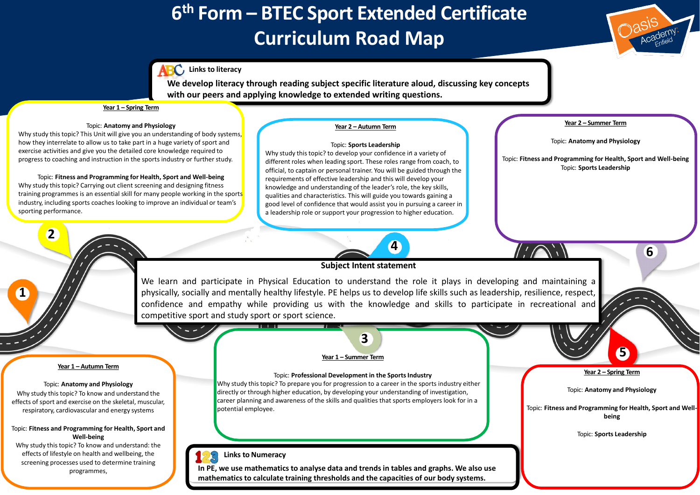



# **6 th Form – BTEC Sport Extended Certificate Curriculum Road Map**



## **Links to literacy**

**2**

**1**

**4**

Why study this topic? To know and understand the effects of sport and exercise on the skeletal, muscular, respiratory, cardiovascular and energy systems

Why study this topic? To know and understand: the effects of lifestyle on health and wellbeing, the screening processes used to determine training programmes,



**We develop literacy through reading subject specific literature aloud, discussing key concepts with our peers and applying knowledge to extended writing questions.** 

Why study this topic? This Unit will give you an understanding of body systems, how they interrelate to allow us to take part in a huge variety of sport and exercise activities and give you the detailed core knowledge required to progress to coaching and instruction in the sports industry or further study.

#### **Year 1 – Autumn Term**

#### Topic: **Anatomy and Physiology**

#### Topic: **Fitness and Programming for Health, Sport and Well-being**

Why study this topic? to develop your confidence in a variety of different roles when leading sport. These roles range from coach, to official, to captain or personal trainer. You will be guided through the requirements of effective leadership and this will develop your knowledge and understanding of the leader's role, the key skills, qualities and characteristics. This will guide you towards gaining a good level of confidence that would assist you in pursuing a career in a leadership role or support your progression to higher education.

#### **Year 1 – Spring Term**

#### Topic: **Anatomy and Physiology**

Topic: **Fitness and Programming for Health, Sport and Well-being** Why study this topic? Carrying out client screening and designing fitness training programmes is an essential skill for many people working in the sports industry, including sports coaches looking to improve an individual or team's sporting performance.

#### **Year 2 – Autumn Term**

### Topic: **Sports Leadership**

### **Year 2 – Summer Term**

#### Topic: **Anatomy and Physiology**

Topic: **Fitness and Programming for Health, Sport and Well-being** Topic: **Sports Leadership**

#### **Year 2 – Spring Term**

Topic: **Anatomy and Physiology**

Topic: **Fitness and Programming for Health, Sport and Wellbeing**

Topic: **Sports Leadership**

# **Subject Intent statement**

We learn and participate in Physical Education to understand the role it plays in developing and maintaining a physically, socially and mentally healthy lifestyle. PE helps us to develop life skills such as leadership, resilience, respect, confidence and empathy while providing us with the knowledge and skills to participate in recreational and competitive sport and study sport or sport science.